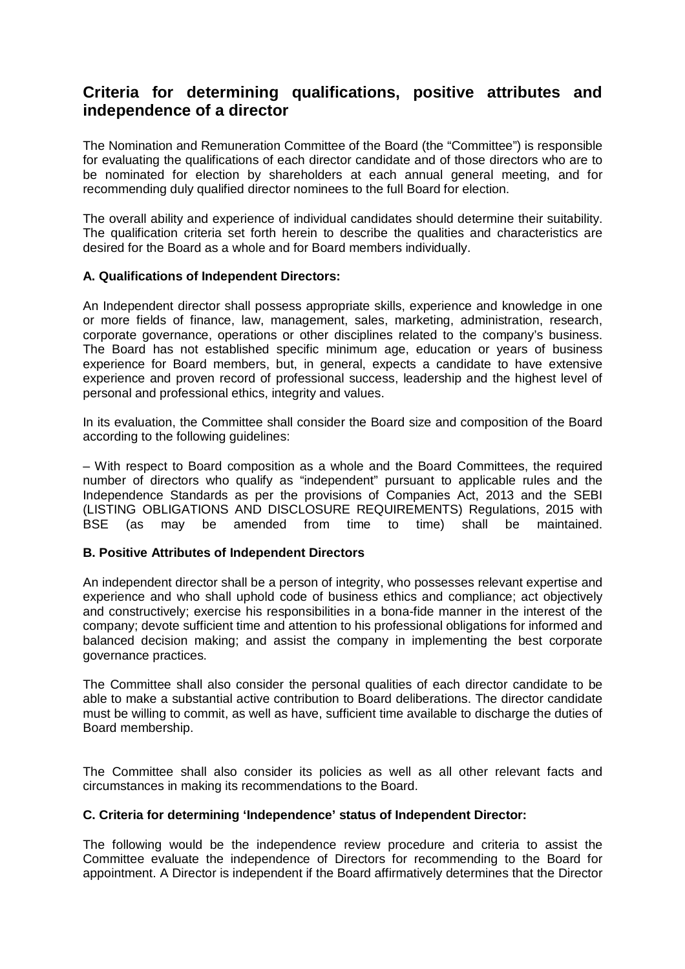# **Criteria for determining qualifications, positive attributes and independence of a director**

The Nomination and Remuneration Committee of the Board (the "Committee") is responsible for evaluating the qualifications of each director candidate and of those directors who are to be nominated for election by shareholders at each annual general meeting, and for recommending duly qualified director nominees to the full Board for election.

The overall ability and experience of individual candidates should determine their suitability. The qualification criteria set forth herein to describe the qualities and characteristics are desired for the Board as a whole and for Board members individually.

# **A. Qualifications of Independent Directors:**

An Independent director shall possess appropriate skills, experience and knowledge in one or more fields of finance, law, management, sales, marketing, administration, research, corporate governance, operations or other disciplines related to the company's business. The Board has not established specific minimum age, education or years of business experience for Board members, but, in general, expects a candidate to have extensive experience and proven record of professional success, leadership and the highest level of personal and professional ethics, integrity and values.

In its evaluation, the Committee shall consider the Board size and composition of the Board according to the following guidelines:

– With respect to Board composition as a whole and the Board Committees, the required number of directors who qualify as "independent" pursuant to applicable rules and the Independence Standards as per the provisions of Companies Act, 2013 and the SEBI (LISTING OBLIGATIONS AND DISCLOSURE REQUIREMENTS) Regulations, 2015 with BSE (as may be amended from time to time) shall be maintained.

# **B. Positive Attributes of Independent Directors**

An independent director shall be a person of integrity, who possesses relevant expertise and experience and who shall uphold code of business ethics and compliance; act objectively and constructively; exercise his responsibilities in a bona-fide manner in the interest of the company; devote sufficient time and attention to his professional obligations for informed and balanced decision making; and assist the company in implementing the best corporate governance practices.

The Committee shall also consider the personal qualities of each director candidate to be able to make a substantial active contribution to Board deliberations. The director candidate must be willing to commit, as well as have, sufficient time available to discharge the duties of Board membership.

The Committee shall also consider its policies as well as all other relevant facts and circumstances in making its recommendations to the Board.

# **C. Criteria for determining 'Independence' status of Independent Director:**

The following would be the independence review procedure and criteria to assist the Committee evaluate the independence of Directors for recommending to the Board for appointment. A Director is independent if the Board affirmatively determines that the Director